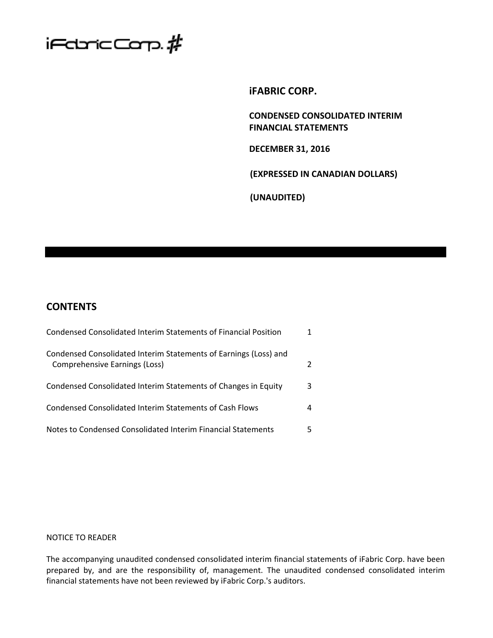

**iFABRIC CORP.**

**CONDENSED CONSOLIDATED INTERIM FINANCIAL STATEMENTS**

**DECEMBER 31, 2016**

**(EXPRESSED IN CANADIAN DOLLARS)**

**(UNAUDITED)**

# **CONTENTS**

| Condensed Consolidated Interim Statements of Financial Position                                   |   |
|---------------------------------------------------------------------------------------------------|---|
| Condensed Consolidated Interim Statements of Earnings (Loss) and<br>Comprehensive Earnings (Loss) | 2 |
| Condensed Consolidated Interim Statements of Changes in Equity                                    | 3 |
| Condensed Consolidated Interim Statements of Cash Flows                                           | 4 |
| Notes to Condensed Consolidated Interim Financial Statements                                      | 5 |

## NOTICE TO READER

The accompanying unaudited condensed consolidated interim financial statements of iFabric Corp. have been prepared by, and are the responsibility of, management. The unaudited condensed consolidated interim financial statements have not been reviewed by iFabric Corp.'s auditors.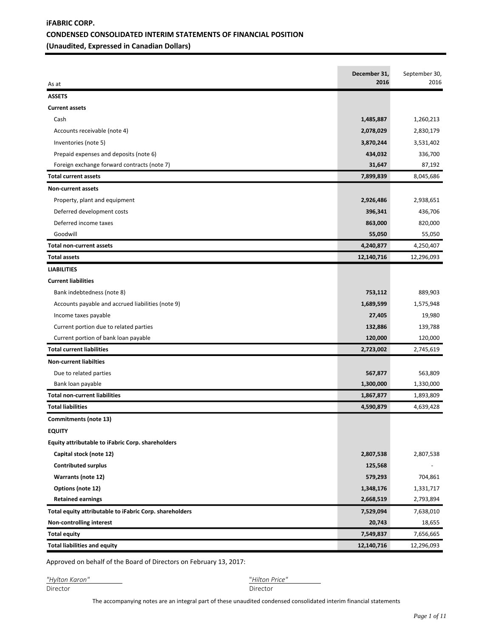## **iFABRIC CORP. CONDENSED CONSOLIDATED INTERIM STATEMENTS OF FINANCIAL POSITION (Unaudited, Expressed in Canadian Dollars)**

|                                                         | December 31, | September 30, |
|---------------------------------------------------------|--------------|---------------|
| As at                                                   | 2016         | 2016          |
| <b>ASSETS</b>                                           |              |               |
| <b>Current assets</b>                                   |              |               |
| Cash                                                    | 1,485,887    | 1,260,213     |
| Accounts receivable (note 4)                            | 2,078,029    | 2,830,179     |
| Inventories (note 5)                                    | 3,870,244    | 3,531,402     |
| Prepaid expenses and deposits (note 6)                  | 434,032      | 336,700       |
| Foreign exchange forward contracts (note 7)             | 31,647       | 87,192        |
| <b>Total current assets</b>                             | 7,899,839    | 8,045,686     |
| Non-current assets                                      |              |               |
| Property, plant and equipment                           | 2,926,486    | 2,938,651     |
| Deferred development costs                              | 396,341      | 436,706       |
| Deferred income taxes                                   | 863,000      | 820,000       |
| Goodwill                                                | 55,050       | 55,050        |
| <b>Total non-current assets</b>                         | 4,240,877    | 4,250,407     |
| <b>Total assets</b>                                     | 12,140,716   | 12,296,093    |
| <b>LIABILITIES</b>                                      |              |               |
| <b>Current liabilities</b>                              |              |               |
| Bank indebtedness (note 8)                              | 753,112      | 889,903       |
| Accounts payable and accrued liabilities (note 9)       | 1,689,599    | 1,575,948     |
| Income taxes payable                                    | 27,405       | 19,980        |
| Current portion due to related parties                  | 132,886      | 139,788       |
| Current portion of bank loan payable                    | 120,000      | 120,000       |
| <b>Total current liabilities</b>                        | 2,723,002    | 2,745,619     |
| <b>Non-current liabilties</b>                           |              |               |
| Due to related parties                                  | 567,877      | 563,809       |
| Bank loan payable                                       | 1,300,000    | 1,330,000     |
| <b>Total non-current liabilities</b>                    | 1,867,877    | 1,893,809     |
| <b>Total liabilities</b>                                | 4,590,879    | 4,639,428     |
| Commitments (note 13)                                   |              |               |
| <b>EQUITY</b>                                           |              |               |
| Equity attributable to iFabric Corp. shareholders       |              |               |
| Capital stock (note 12)                                 | 2,807,538    | 2,807,538     |
| <b>Contributed surplus</b>                              | 125,568      |               |
| Warrants (note 12)                                      | 579,293      | 704,861       |
| Options (note 12)                                       | 1,348,176    | 1,331,717     |
| <b>Retained earnings</b>                                | 2,668,519    | 2,793,894     |
| Total equity attributable to iFabric Corp. shareholders | 7,529,094    | 7,638,010     |
| Non-controlling interest                                | 20,743       | 18,655        |
| <b>Total equity</b>                                     | 7,549,837    | 7,656,665     |
| <b>Total liabilities and equity</b>                     | 12,140,716   | 12,296,093    |

Approved on behalf of the Board of Directors on February 13, 2017:

| "Hylton Karon" | "Hilton F |
|----------------|-----------|
| Director       | Director  |

*"Hylton Karon"* "*Hilton Price"* 

The accompanying notes are an integral part of these unaudited condensed consolidated interim financial statements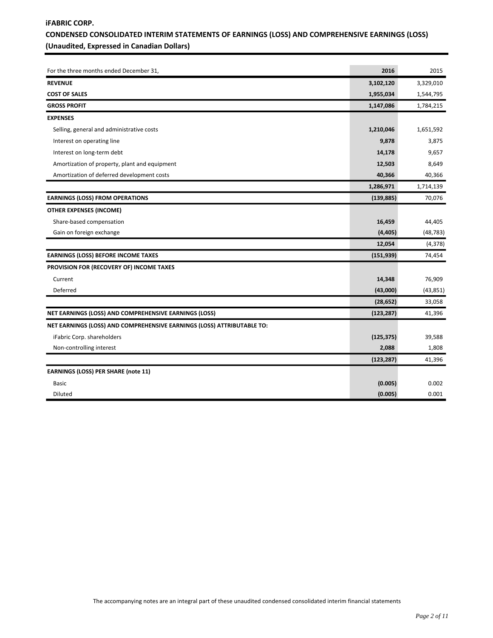## **iFABRIC CORP. CONDENSED CONSOLIDATED INTERIM STATEMENTS OF EARNINGS (LOSS) AND COMPREHENSIVE EARNINGS (LOSS) (Unaudited, Expressed in Canadian Dollars)**

| For the three months ended December 31,                                | 2016       | 2015      |
|------------------------------------------------------------------------|------------|-----------|
| <b>REVENUE</b>                                                         | 3,102,120  | 3,329,010 |
| <b>COST OF SALES</b>                                                   | 1,955,034  | 1,544,795 |
| <b>GROSS PROFIT</b>                                                    | 1,147,086  | 1,784,215 |
| <b>EXPENSES</b>                                                        |            |           |
| Selling, general and administrative costs                              | 1,210,046  | 1,651,592 |
| Interest on operating line                                             | 9,878      | 3,875     |
| Interest on long-term debt                                             | 14,178     | 9,657     |
| Amortization of property, plant and equipment                          | 12,503     | 8,649     |
| Amortization of deferred development costs                             | 40,366     | 40,366    |
|                                                                        | 1,286,971  | 1,714,139 |
| <b>EARNINGS (LOSS) FROM OPERATIONS</b>                                 | (139, 885) | 70,076    |
| OTHER EXPENSES (INCOME)                                                |            |           |
| Share-based compensation                                               | 16,459     | 44,405    |
| Gain on foreign exchange                                               | (4, 405)   | (48, 783) |
|                                                                        | 12,054     | (4, 378)  |
| <b>EARNINGS (LOSS) BEFORE INCOME TAXES</b>                             | (151, 939) | 74,454    |
| PROVISION FOR (RECOVERY OF) INCOME TAXES                               |            |           |
| Current                                                                | 14,348     | 76,909    |
| Deferred                                                               | (43,000)   | (43, 851) |
|                                                                        | (28, 652)  | 33,058    |
| NET EARNINGS (LOSS) AND COMPREHENSIVE EARNINGS (LOSS)                  | (123, 287) | 41,396    |
| NET EARNINGS (LOSS) AND COMPREHENSIVE EARNINGS (LOSS) ATTRIBUTABLE TO: |            |           |
| iFabric Corp. shareholders                                             | (125, 375) | 39,588    |
| Non-controlling interest                                               | 2,088      | 1,808     |
|                                                                        | (123, 287) | 41,396    |
| <b>EARNINGS (LOSS) PER SHARE (note 11)</b>                             |            |           |
| <b>Basic</b>                                                           | (0.005)    | 0.002     |
| Diluted                                                                | (0.005)    | 0.001     |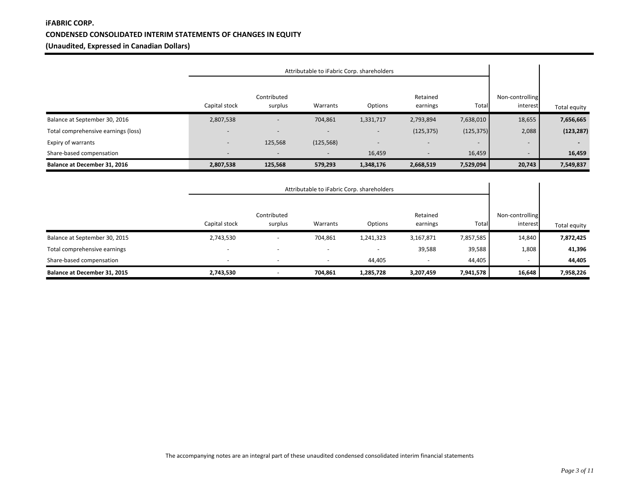## **iFABRIC CORP. CONDENSED CONSOLIDATED INTERIM STATEMENTS OF CHANGES IN EQUITY (Unaudited, Expressed in Canadian Dollars)**

|                                     |                          | Attributable to iFabric Corp. shareholders |                          |                          |                          |                          |                             |                          |
|-------------------------------------|--------------------------|--------------------------------------------|--------------------------|--------------------------|--------------------------|--------------------------|-----------------------------|--------------------------|
|                                     | Capital stock            | Contributed<br>surplus                     | Warrants                 | Options                  | Retained<br>earnings     | Total                    | Non-controlling<br>interest | Total equity             |
| Balance at September 30, 2016       | 2,807,538                |                                            | 704,861                  | 1,331,717                | 2,793,894                | 7,638,010                | 18,655                      | 7,656,665                |
| Total comprehensive earnings (loss) | $\overline{\phantom{0}}$ | $\overline{\phantom{a}}$                   |                          | $\overline{\phantom{a}}$ | (125, 375)               | (125, 375)               | 2,088                       | (123, 287)               |
| Expiry of warrants                  | $\overline{\phantom{0}}$ | 125,568                                    | (125, 568)               |                          | $\overline{\phantom{a}}$ | $\overline{\phantom{0}}$ | $\overline{\phantom{a}}$    | $\overline{\phantom{a}}$ |
| Share-based compensation            | $\overline{\phantom{0}}$ | $\overline{\phantom{a}}$                   | $\overline{\phantom{a}}$ | 16,459                   | $\overline{\phantom{a}}$ | 16,459                   | $\overline{\phantom{0}}$    | 16,459                   |
| Balance at December 31, 2016        | 2,807,538                | 125,568                                    | 579,293                  | 1,348,176                | 2,668,519                | 7,529,094                | 20,743                      | 7,549,837                |

|                               | Attributable to iFabric Corp. shareholders |                        |                          |                          |                          |           |                             |              |
|-------------------------------|--------------------------------------------|------------------------|--------------------------|--------------------------|--------------------------|-----------|-----------------------------|--------------|
|                               | Capital stock                              | Contributed<br>surplus | Warrants                 | Options                  | Retained<br>earnings     | Total     | Non-controlling<br>interest | Total equity |
| Balance at September 30, 2015 | 2,743,530                                  |                        | 704,861                  | 1,241,323                | 3,167,871                | 7,857,585 | 14,840                      | 7,872,425    |
| Total comprehensive earnings  | $\overline{\phantom{a}}$                   | -                      | $\overline{\phantom{a}}$ | $\overline{\phantom{a}}$ | 39,588                   | 39,588    | 1,808                       | 41,396       |
| Share-based compensation      | $\overline{\phantom{a}}$                   |                        |                          | 44.405                   | $\overline{\phantom{0}}$ | 44,405    | $\overline{\phantom{0}}$    | 44,405       |
| Balance at December 31, 2015  | 2,743,530                                  |                        | 704,861                  | 1,285,728                | 3,207,459                | 7,941,578 | 16,648                      | 7,958,226    |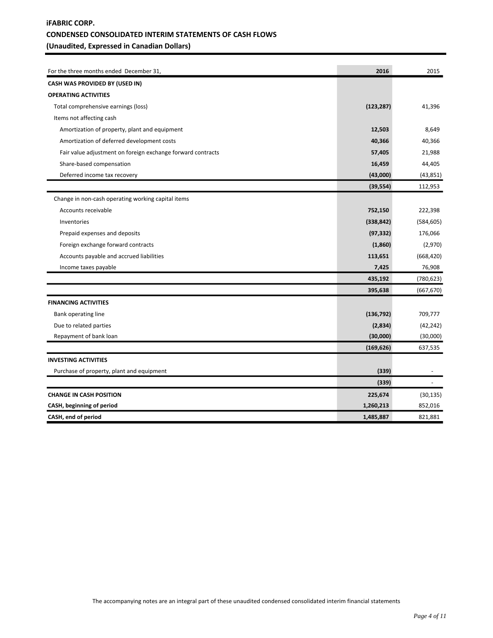## **iFABRIC CORP. CONDENSED CONSOLIDATED INTERIM STATEMENTS OF CASH FLOWS (Unaudited, Expressed in Canadian Dollars)**

| For the three months ended December 31,                     | 2016       | 2015       |
|-------------------------------------------------------------|------------|------------|
| CASH WAS PROVIDED BY (USED IN)                              |            |            |
| <b>OPERATING ACTIVITIES</b>                                 |            |            |
| Total comprehensive earnings (loss)                         | (123, 287) | 41,396     |
| Items not affecting cash                                    |            |            |
| Amortization of property, plant and equipment               | 12,503     | 8,649      |
| Amortization of deferred development costs                  | 40,366     | 40,366     |
| Fair value adjustment on foreign exchange forward contracts | 57,405     | 21,988     |
| Share-based compensation                                    | 16,459     | 44,405     |
| Deferred income tax recovery                                | (43,000)   | (43, 851)  |
|                                                             | (39, 554)  | 112,953    |
| Change in non-cash operating working capital items          |            |            |
| Accounts receivable                                         | 752,150    | 222,398    |
| Inventories                                                 | (338, 842) | (584, 605) |
| Prepaid expenses and deposits                               | (97, 332)  | 176,066    |
| Foreign exchange forward contracts                          | (1,860)    | (2,970)    |
| Accounts payable and accrued liabilities                    | 113,651    | (668, 420) |
| Income taxes payable                                        | 7,425      | 76,908     |
|                                                             | 435,192    | (780, 623) |
|                                                             | 395,638    | (667, 670) |
| <b>FINANCING ACTIVITIES</b>                                 |            |            |
| Bank operating line                                         | (136, 792) | 709,777    |
| Due to related parties                                      | (2,834)    | (42, 242)  |
| Repayment of bank loan                                      | (30,000)   | (30,000)   |
|                                                             | (169, 626) | 637,535    |
| <b>INVESTING ACTIVITIES</b>                                 |            |            |
| Purchase of property, plant and equipment                   | (339)      |            |
|                                                             | (339)      |            |
| <b>CHANGE IN CASH POSITION</b>                              | 225,674    | (30, 135)  |
| CASH, beginning of period                                   | 1,260,213  | 852,016    |
| CASH, end of period                                         | 1,485,887  | 821,881    |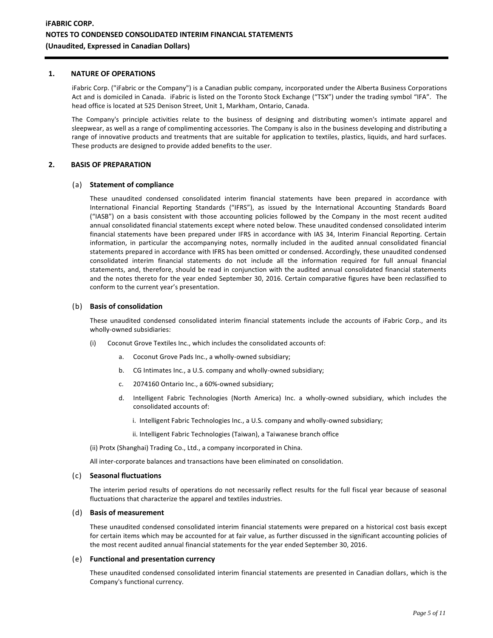#### **1. NATURE OF OPERATIONS**

iFabric Corp. ("iFabric or the Company") is a Canadian public company, incorporated under the Alberta Business Corporations Act and is domiciled in Canada. iFabric is listed on the Toronto Stock Exchange ("TSX") under the trading symbol "IFA". The head office is located at 525 Denison Street, Unit 1, Markham, Ontario, Canada.

The Company's principle activities relate to the business of designing and distributing women's intimate apparel and sleepwear, as well as a range of complimenting accessories. The Company is also in the business developing and distributing a range of innovative products and treatments that are suitable for application to textiles, plastics, liquids, and hard surfaces. These products are designed to provide added benefits to the user.

#### **2. BASIS OF PREPARATION**

#### (a) **Statement of compliance**

These unaudited condensed consolidated interim financial statements have been prepared in accordance with International Financial Reporting Standards ("IFRS"), as issued by the International Accounting Standards Board ("IASB") on a basis consistent with those accounting policies followed by the Company in the most recent audited annual consolidated financial statements except where noted below. These unaudited condensed consolidated interim financial statements have been prepared under IFRS in accordance with IAS 34, Interim Financial Reporting. Certain information, in particular the accompanying notes, normally included in the audited annual consolidated financial statements prepared in accordance with IFRS has been omitted or condensed. Accordingly, these unaudited condensed consolidated interim financial statements do not include all the information required for full annual financial statements, and, therefore, should be read in conjunction with the audited annual consolidated financial statements and the notes thereto for the year ended September 30, 2016. Certain comparative figures have been reclassified to conform to the current year's presentation.

#### (b) **Basis of consolidation**

These unaudited condensed consolidated interim financial statements include the accounts of iFabric Corp., and its wholly-owned subsidiaries:

- (i) Coconut Grove Textiles Inc., which includes the consolidated accounts of:
	- a. Coconut Grove Pads Inc., a wholly-owned subsidiary;
	- b. CG Intimates Inc., a U.S. company and wholly-owned subsidiary;
	- c. 2074160 Ontario Inc., a 60%-owned subsidiary;
	- d. Intelligent Fabric Technologies (North America) Inc. a wholly-owned subsidiary, which includes the consolidated accounts of:
		- i. Intelligent Fabric Technologies Inc., a U.S. company and wholly-owned subsidiary;
		- ii. Intelligent Fabric Technologies (Taiwan), a Taiwanese branch office

(ii) Protx (Shanghai) Trading Co., Ltd., a company incorporated in China.

All inter-corporate balances and transactions have been eliminated on consolidation.

#### (c) **Seasonal fluctuations**

The interim period results of operations do not necessarily reflect results for the full fiscal year because of seasonal fluctuations that characterize the apparel and textiles industries.

#### (d) **Basis of measurement**

These unaudited condensed consolidated interim financial statements were prepared on a historical cost basis except for certain items which may be accounted for at fair value, as further discussed in the significant accounting policies of the most recent audited annual financial statements for the year ended September 30, 2016.

#### (e) **Functional and presentation currency**

These unaudited condensed consolidated interim financial statements are presented in Canadian dollars, which is the Company's functional currency.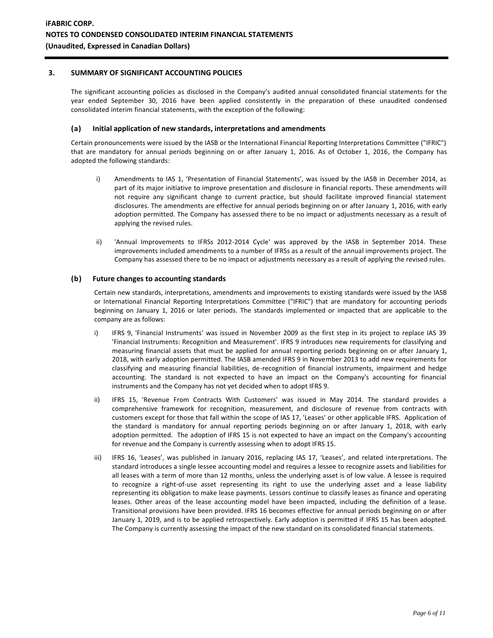### **3. SUMMARY OF SIGNIFICANT ACCOUNTING POLICIES**

The significant accounting policies as disclosed in the Company's audited annual consolidated financial statements for the year ended September 30, 2016 have been applied consistently in the preparation of these unaudited condensed consolidated interim financial statements, with the exception of the following:

#### **(a) Initial application of new standards, interpretations and amendments**

Certain pronouncements were issued by the IASB or the International Financial Reporting Interpretations Committee ("IFRIC") that are mandatory for annual periods beginning on or after January 1, 2016. As of October 1, 2016, the Company has adopted the following standards:

- i) Amendments to IAS 1, 'Presentation of Financial Statements', was issued by the IASB in December 2014, as part of its major initiative to improve presentation and disclosure in financial reports. These amendments will not require any significant change to current practice, but should facilitate improved financial statement disclosures. The amendments are effective for annual periods beginning on or after January 1, 2016, with early adoption permitted. The Company has assessed there to be no impact or adjustments necessary as a result of applying the revised rules.
- ii) 'Annual Improvements to IFRSs 2012-2014 Cycle' was approved by the IASB in September 2014. These improvements included amendments to a number of IFRSs as a result of the annual improvements project. The Company has assessed there to be no impact or adjustments necessary as a result of applying the revised rules.

#### **(b) Future changes to accounting standards**

Certain new standards, interpretations, amendments and improvements to existing standards were issued by the IASB or International Financial Reporting Interpretations Committee ("IFRIC") that are mandatory for accounting periods beginning on January 1, 2016 or later periods. The standards implemented or impacted that are applicable to the company are as follows:

- i) IFRS 9, 'Financial Instruments' was issued in November 2009 as the first step in its project to replace IAS 39 'Financial Instruments: Recognition and Measurement'. IFRS 9 introduces new requirements for classifying and measuring financial assets that must be applied for annual reporting periods beginning on or after January 1, 2018, with early adoption permitted. The IASB amended IFRS 9 in November 2013 to add new requirements for classifying and measuring financial liabilities, de-recognition of financial instruments, impairment and hedge accounting. The standard is not expected to have an impact on the Company's accounting for financial instruments and the Company has not yet decided when to adopt IFRS 9.
- ii) IFRS 15, 'Revenue From Contracts With Customers' was issued in May 2014. The standard provides a comprehensive framework for recognition, measurement, and disclosure of revenue from contracts with customers except for those that fall within the scope of IAS 17, 'Leases' or other applicable IFRS. Application of the standard is mandatory for annual reporting periods beginning on or after January 1, 2018, with early adoption permitted. The adoption of IFRS 15 is not expected to have an impact on the Company's accounting for revenue and the Company is currently assessing when to adopt IFRS 15.
- iii) IFRS 16, 'Leases', was published in January 2016, replacing IAS 17, 'Leases', and related interpretations. The standard introduces a single lessee accounting model and requires a lessee to recognize assets and liabilities for all leases with a term of more than 12 months, unless the underlying asset is of low value. A lessee is required to recognize a right-of-use asset representing its right to use the underlying asset and a lease liability representing its obligation to make lease payments. Lessors continue to classify leases as finance and operating leases. Other areas of the lease accounting model have been impacted, including the definition of a lease. Transitional provisions have been provided. IFRS 16 becomes effective for annual periods beginning on or after January 1, 2019, and is to be applied retrospectively. Early adoption is permitted if IFRS 15 has been adopted. The Company is currently assessing the impact of the new standard on its consolidated financial statements.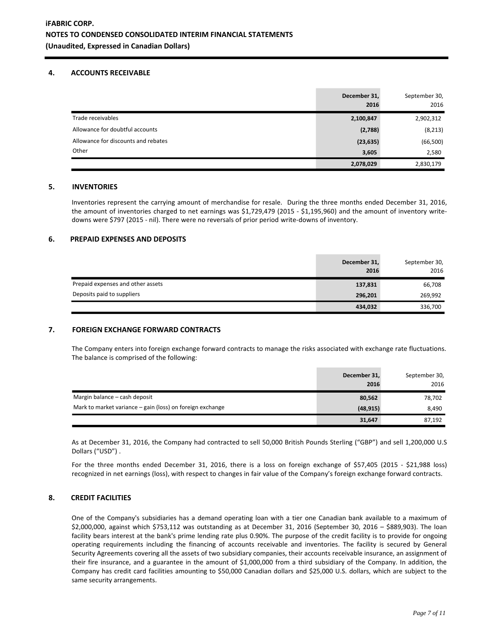#### **4. ACCOUNTS RECEIVABLE**

|                                     | December 31,<br>2016 | September 30,<br>2016 |
|-------------------------------------|----------------------|-----------------------|
| Trade receivables                   | 2,100,847            | 2,902,312             |
| Allowance for doubtful accounts     | (2,788)              | (8, 213)              |
| Allowance for discounts and rebates | (23, 635)            | (66, 500)             |
| Other                               | 3,605                | 2,580                 |
|                                     | 2,078,029            | 2,830,179             |

#### **5. INVENTORIES**

Inventories represent the carrying amount of merchandise for resale. During the three months ended December 31, 2016, the amount of inventories charged to net earnings was \$1,729,479 (2015 - \$1,195,960) and the amount of inventory writedowns were \$797 (2015 - nil). There were no reversals of prior period write-downs of inventory.

### **6. PREPAID EXPENSES AND DEPOSITS**

|                                   | December 31,<br>2016 | September 30,<br>2016 |
|-----------------------------------|----------------------|-----------------------|
| Prepaid expenses and other assets | 137,831              | 66,708                |
| Deposits paid to suppliers        | 296,201              | 269,992               |
|                                   | 434,032              | 336,700               |

#### **7. FOREIGN EXCHANGE FORWARD CONTRACTS**

The Company enters into foreign exchange forward contracts to manage the risks associated with exchange rate fluctuations. The balance is comprised of the following:

|                                                           | December 31,<br>2016 | September 30,<br>2016 |
|-----------------------------------------------------------|----------------------|-----------------------|
| Margin balance – cash deposit                             | 80,562               | 78,702                |
| Mark to market variance – gain (loss) on foreign exchange | (48, 915)            | 8,490                 |
|                                                           | 31,647               | 87,192                |

As at December 31, 2016, the Company had contracted to sell 50,000 British Pounds Sterling ("GBP") and sell 1,200,000 U.S Dollars ("USD") .

For the three months ended December 31, 2016, there is a loss on foreign exchange of \$57,405 (2015 - \$21,988 loss) recognized in net earnings (loss), with respect to changes in fair value of the Company's foreign exchange forward contracts.

#### **8. CREDIT FACILITIES**

One of the Company's subsidiaries has a demand operating loan with a tier one Canadian bank available to a maximum of \$2,000,000, against which \$753,112 was outstanding as at December 31, 2016 (September 30, 2016 – \$889,903). The loan facility bears interest at the bank's prime lending rate plus 0.90%. The purpose of the credit facility is to provide for ongoing operating requirements including the financing of accounts receivable and inventories. The facility is secured by General Security Agreements covering all the assets of two subsidiary companies, their accounts receivable insurance, an assignment of their fire insurance, and a guarantee in the amount of \$1,000,000 from a third subsidiary of the Company. In addition, the Company has credit card facilities amounting to \$50,000 Canadian dollars and \$25,000 U.S. dollars, which are subject to the same security arrangements.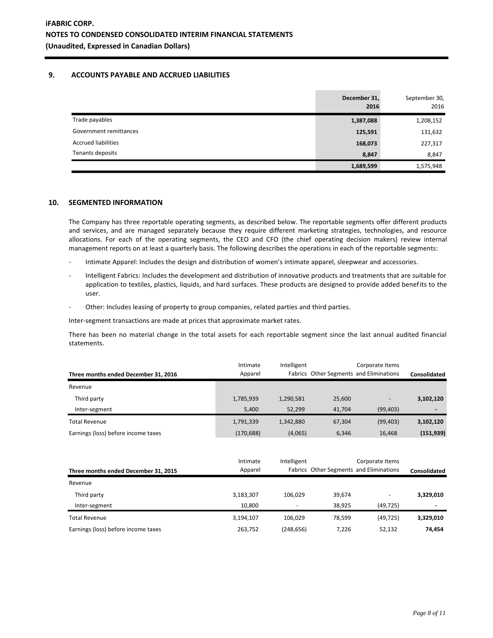### **9. ACCOUNTS PAYABLE AND ACCRUED LIABILITIES**

|                            | December 31,<br>2016 | September 30,<br>2016 |
|----------------------------|----------------------|-----------------------|
| Trade payables             | 1,387,088            | 1,208,152             |
| Government remittances     | 125,591              | 131,632               |
| <b>Accrued liabilities</b> | 168,073              | 227,317               |
| Tenants deposits           | 8,847                | 8,847                 |
|                            | 1,689,599            | 1,575,948             |

#### **10. SEGMENTED INFORMATION**

The Company has three reportable operating segments, as described below. The reportable segments offer different products and services, and are managed separately because they require different marketing strategies, technologies, and resource allocations. For each of the operating segments, the CEO and CFO (the chief operating decision makers) review internal management reports on at least a quarterly basis. The following describes the operations in each of the reportable segments:

- Intimate Apparel: Includes the design and distribution of women's intimate apparel, sleepwear and accessories.
- Intelligent Fabrics: Includes the development and distribution of innovative products and treatments that are suitable for application to textiles, plastics, liquids, and hard surfaces. These products are designed to provide added benefits to the user.
- Other: Includes leasing of property to group companies, related parties and third parties.

Inter-segment transactions are made at prices that approximate market rates.

There has been no material change in the total assets for each reportable segment since the last annual audited financial statements.

| Three months ended December 31, 2016 | Intimate<br>Apparel | Intelligent | Corporate Items |                   | Fabrics Other Segments and Eliminations |  | Consolidated |
|--------------------------------------|---------------------|-------------|-----------------|-------------------|-----------------------------------------|--|--------------|
| Revenue                              |                     |             |                 |                   |                                         |  |              |
| Third party                          | 1,785,939           | 1,290,581   | 25,600          | $\qquad \qquad -$ | 3,102,120                               |  |              |
| Inter-segment                        | 5.400               | 52.299      | 41,704          | (99, 403)         | $\blacksquare$                          |  |              |
| <b>Total Revenue</b>                 | 1,791,339           | 1,342,880   | 67,304          | (99, 403)         | 3,102,120                               |  |              |
| Earnings (loss) before income taxes  | (170, 688)          | (4,065)     | 6.346           | 16,468            | (151, 939)                              |  |              |

|                                      | Intimate  | Intelligent | Corporate Items                         |                          |              |  |
|--------------------------------------|-----------|-------------|-----------------------------------------|--------------------------|--------------|--|
| Three months ended December 31, 2015 | Apparel   |             | Fabrics Other Segments and Eliminations |                          | Consolidated |  |
| Revenue                              |           |             |                                         |                          |              |  |
| Third party                          | 3,183,307 | 106.029     | 39,674                                  | $\overline{\phantom{0}}$ | 3,329,010    |  |
| Inter-segment                        | 10.800    | -           | 38.925                                  | (49, 725)                | ٠            |  |
| <b>Total Revenue</b>                 | 3.194.107 | 106.029     | 78.599                                  | (49.725)                 | 3,329,010    |  |
| Earnings (loss) before income taxes  | 263,752   | (248, 656)  | 7.226                                   | 52,132                   | 74,454       |  |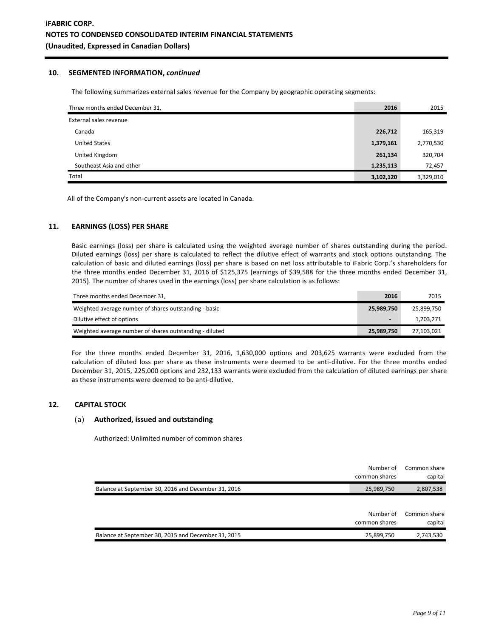#### **10. SEGMENTED INFORMATION,** *continued*

The following summarizes external sales revenue for the Company by geographic operating segments:

| Three months ended December 31, | 2016      | 2015      |
|---------------------------------|-----------|-----------|
| External sales revenue          |           |           |
| Canada                          | 226,712   | 165,319   |
| <b>United States</b>            | 1,379,161 | 2,770,530 |
| United Kingdom                  | 261,134   | 320,704   |
| Southeast Asia and other        | 1,235,113 | 72,457    |
| Total                           | 3,102,120 | 3,329,010 |

All of the Company's non-current assets are located in Canada.

## **11. EARNINGS (LOSS) PER SHARE**

Basic earnings (loss) per share is calculated using the weighted average number of shares outstanding during the period. Diluted earnings (loss) per share is calculated to reflect the dilutive effect of warrants and stock options outstanding. The calculation of basic and diluted earnings (loss) per share is based on net loss attributable to iFabric Corp.'s shareholders for the three months ended December 31, 2016 of \$125,375 (earnings of \$39,588 for the three months ended December 31, 2015). The number of shares used in the earnings (loss) per share calculation is as follows:

| Three months ended December 31,                         | 2016           | 2015       |
|---------------------------------------------------------|----------------|------------|
| Weighted average number of shares outstanding - basic   | 25,989,750     | 25,899,750 |
| Dilutive effect of options                              | $\blacksquare$ | 1,203,271  |
| Weighted average number of shares outstanding - diluted | 25,989,750     | 27,103,021 |

For the three months ended December 31, 2016, 1,630,000 options and 203,625 warrants were excluded from the calculation of diluted loss per share as these instruments were deemed to be anti-dilutive. For the three months ended December 31, 2015, 225,000 options and 232,133 warrants were excluded from the calculation of diluted earnings per share as these instruments were deemed to be anti-dilutive.

#### **12. CAPITAL STOCK**

#### (a) **Authorized, issued and outstanding**

Authorized: Unlimited number of common shares

|                                                     | Number of<br>common shares | Common share<br>capital |
|-----------------------------------------------------|----------------------------|-------------------------|
| Balance at September 30, 2016 and December 31, 2016 | 25,989,750                 | 2,807,538               |
|                                                     |                            |                         |
|                                                     | Number of<br>common shares | Common share<br>capital |
| Balance at September 30, 2015 and December 31, 2015 | 25,899,750                 | 2,743,530               |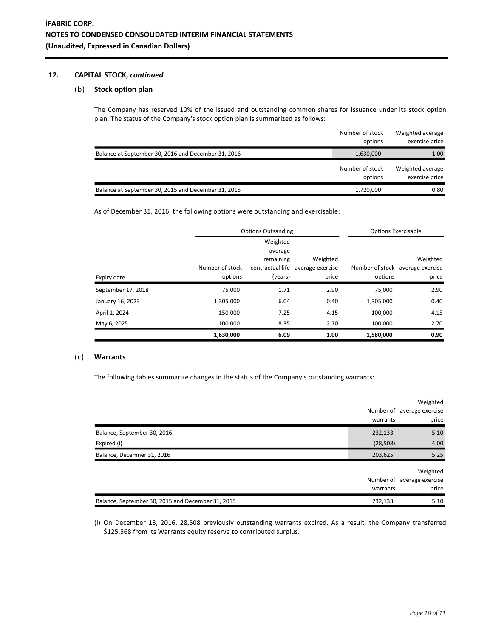## **12. CAPITAL STOCK,** *continued*

## (b) **Stock option plan**

The Company has reserved 10% of the issued and outstanding common shares for issuance under its stock option plan. The status of the Company's stock option plan is summarized as follows:

|                                                     | Number of stock<br>options | Weighted average<br>exercise price |
|-----------------------------------------------------|----------------------------|------------------------------------|
| Balance at September 30, 2016 and December 31, 2016 | 1,630,000                  | 1.00                               |
|                                                     | Number of stock<br>options | Weighted average<br>exercise price |
| Balance at September 30, 2015 and December 31, 2015 | 1,720,000                  | 0.80                               |

As of December 31, 2016, the following options were outstanding and exercisable:

|                    | <b>Options Outsanding</b> |           |                                   | <b>Options Exercisable</b> |                                  |
|--------------------|---------------------------|-----------|-----------------------------------|----------------------------|----------------------------------|
|                    |                           | Weighted  |                                   |                            |                                  |
|                    |                           | average   |                                   |                            |                                  |
|                    |                           | remaining | Weighted                          |                            | Weighted                         |
|                    | Number of stock           |           | contractual life average exercise |                            | Number of stock average exercise |
| Expiry date        | options                   | (years)   | price                             | options                    | price                            |
| September 17, 2018 | 75,000                    | 1.71      | 2.90                              | 75,000                     | 2.90                             |
| January 16, 2023   | 1,305,000                 | 6.04      | 0.40                              | 1,305,000                  | 0.40                             |
| April 1, 2024      | 150,000                   | 7.25      | 4.15                              | 100.000                    | 4.15                             |
| May 6, 2025        | 100,000                   | 8.35      | 2.70                              | 100,000                    | 2.70                             |
|                    | 1,630,000                 | 6.09      | 1.00                              | 1,580,000                  | 0.90                             |

#### (c) **Warrants**

The following tables summarize changes in the status of the Company's outstanding warrants:

|                                                   | warrants  | Weighted<br>Number of average exercise<br>price |
|---------------------------------------------------|-----------|-------------------------------------------------|
| Balance, September 30, 2016                       | 232,133   | 5.10                                            |
| Expired (i)                                       | (28, 508) | 4.00                                            |
| Balance, Decemner 31, 2016                        | 203,625   | 5.25                                            |
|                                                   | warrants  | Weighted<br>Number of average exercise<br>price |
| Balance, September 30, 2015 and December 31, 2015 | 232,133   | 5.10                                            |

(i) On December 13, 2016, 28,508 previously outstanding warrants expired. As a result, the Company transferred \$125,568 from its Warrants equity reserve to contributed surplus.